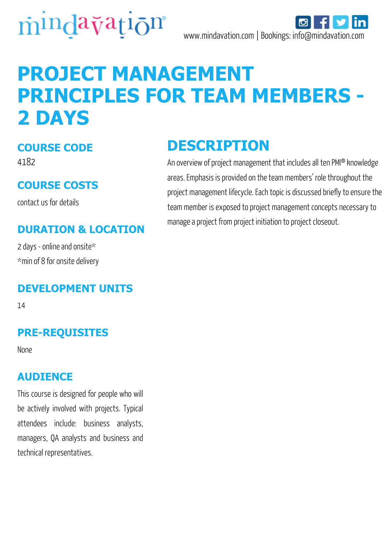

# **PROJECT MANAGEMENT PRINCIPLES FOR TEAM MEMBERS - 2 DAYS**

#### **COURSE CODE**

4182

#### **COURSE COSTS**

contact us for details

#### **DURATION & LOCATION**

2 days - online and onsite\* \*min of 8 for onsite delivery

#### **DEVELOPMENT UNITS**

14

#### **PRE-REQUISITES**

None

#### **AUDIENCE**

This course is designed for people who will be actively involved with projects. Typical attendees include: business analysts, managers, QA analysts and business and technical representatives.

### **DESCRIPTION**

An overview of project management that includes all ten PMI® knowledge areas. Emphasis is provided on the team members' role throughout the project management lifecycle. Each topic is discussed briefly to ensure the team member is exposed to project management concepts necessary to manage a project from project initiation to project closeout.